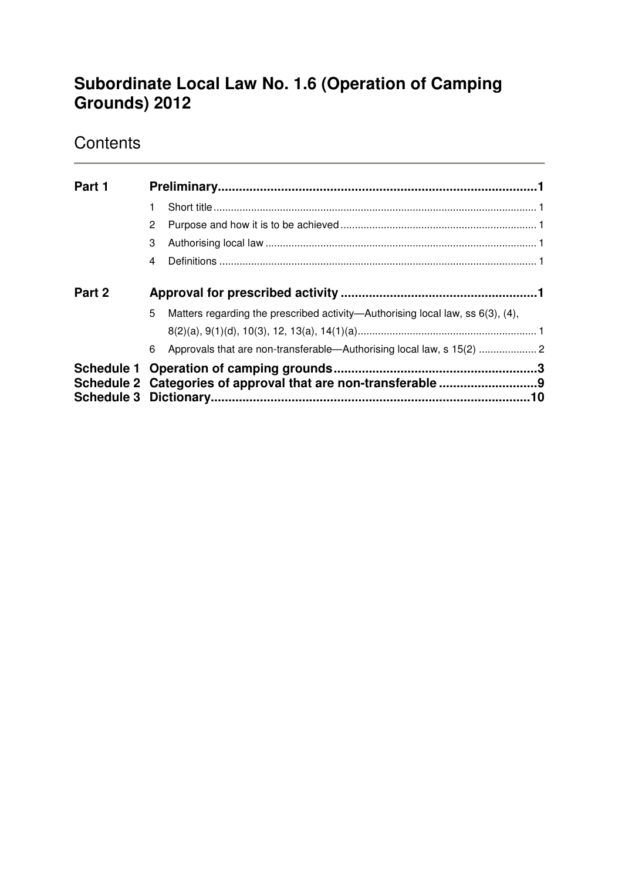# **Subordinate Local Law No. 1.6 (Operation of Camping Grounds) 2012**

# **Contents**

| Part 1 |   |                                                                                      |  |  |
|--------|---|--------------------------------------------------------------------------------------|--|--|
|        |   |                                                                                      |  |  |
|        | 2 |                                                                                      |  |  |
|        | 3 |                                                                                      |  |  |
|        | 4 |                                                                                      |  |  |
| Part 2 |   |                                                                                      |  |  |
|        | 5 | Matters regarding the prescribed activity—Authorising local law, ss $6(3)$ , $(4)$ , |  |  |
|        |   |                                                                                      |  |  |
|        | 6 | Approvals that are non-transferable-Authorising local law, s 15(2)  2                |  |  |
|        |   |                                                                                      |  |  |
|        |   |                                                                                      |  |  |
|        |   |                                                                                      |  |  |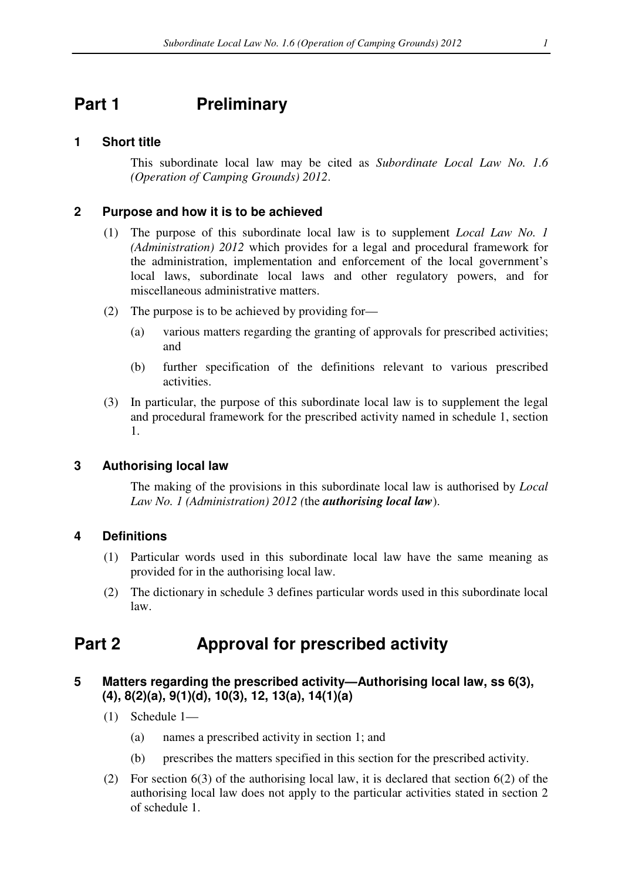# **Part 1** Preliminary

#### **1 Short title**

This subordinate local law may be cited as *Subordinate Local Law No. 1.6 (Operation of Camping Grounds) 2012*.

#### **2 Purpose and how it is to be achieved**

- (1) The purpose of this subordinate local law is to supplement *Local Law No. 1 (Administration) 2012* which provides for a legal and procedural framework for the administration, implementation and enforcement of the local government's local laws, subordinate local laws and other regulatory powers, and for miscellaneous administrative matters.
- (2) The purpose is to be achieved by providing for—
	- (a) various matters regarding the granting of approvals for prescribed activities; and
	- (b) further specification of the definitions relevant to various prescribed activities.
- (3) In particular, the purpose of this subordinate local law is to supplement the legal and procedural framework for the prescribed activity named in schedule 1, section 1.

#### **3 Authorising local law**

The making of the provisions in this subordinate local law is authorised by *Local Law No. 1 (Administration) 2012 (*the *authorising local law*).

#### **4 Definitions**

- (1) Particular words used in this subordinate local law have the same meaning as provided for in the authorising local law.
- (2) The dictionary in schedule 3 defines particular words used in this subordinate local law.

## **Part 2 Approval for prescribed activity**

## **5 Matters regarding the prescribed activity—Authorising local law, ss 6(3), (4), 8(2)(a), 9(1)(d), 10(3), 12, 13(a), 14(1)(a)**

- (1) Schedule 1—
	- (a) names a prescribed activity in section 1; and
	- (b) prescribes the matters specified in this section for the prescribed activity.
- (2) For section 6(3) of the authorising local law, it is declared that section 6(2) of the authorising local law does not apply to the particular activities stated in section 2 of schedule 1.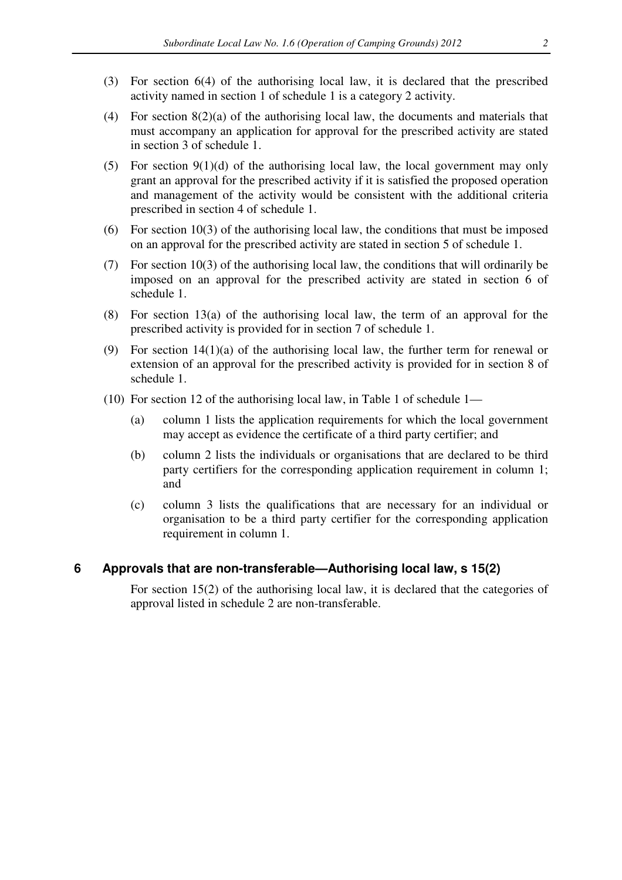- (3) For section 6(4) of the authorising local law, it is declared that the prescribed activity named in section 1 of schedule 1 is a category 2 activity.
- (4) For section 8(2)(a) of the authorising local law, the documents and materials that must accompany an application for approval for the prescribed activity are stated in section 3 of schedule 1.
- (5) For section  $9(1)(d)$  of the authorising local law, the local government may only grant an approval for the prescribed activity if it is satisfied the proposed operation and management of the activity would be consistent with the additional criteria prescribed in section 4 of schedule 1.
- (6) For section 10(3) of the authorising local law, the conditions that must be imposed on an approval for the prescribed activity are stated in section 5 of schedule 1.
- (7) For section 10(3) of the authorising local law, the conditions that will ordinarily be imposed on an approval for the prescribed activity are stated in section 6 of schedule 1.
- (8) For section 13(a) of the authorising local law, the term of an approval for the prescribed activity is provided for in section 7 of schedule 1.
- (9) For section 14(1)(a) of the authorising local law, the further term for renewal or extension of an approval for the prescribed activity is provided for in section 8 of schedule 1.
- (10) For section 12 of the authorising local law, in Table 1 of schedule 1—
	- (a) column 1 lists the application requirements for which the local government may accept as evidence the certificate of a third party certifier; and
	- (b) column 2 lists the individuals or organisations that are declared to be third party certifiers for the corresponding application requirement in column 1; and
	- (c) column 3 lists the qualifications that are necessary for an individual or organisation to be a third party certifier for the corresponding application requirement in column 1.

### **6 Approvals that are non-transferable—Authorising local law, s 15(2)**

For section 15(2) of the authorising local law, it is declared that the categories of approval listed in schedule 2 are non-transferable.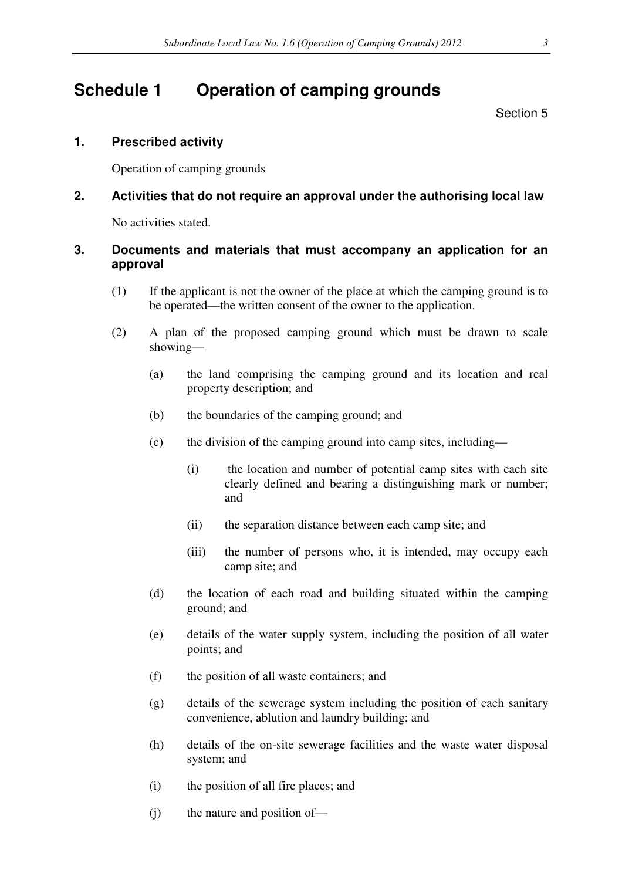## **Schedule 1 Operation of camping grounds**

Section 5

### **1. Prescribed activity**

Operation of camping grounds

## **2. Activities that do not require an approval under the authorising local law**

No activities stated.

### **3. Documents and materials that must accompany an application for an approval**

- (1) If the applicant is not the owner of the place at which the camping ground is to be operated—the written consent of the owner to the application.
- (2) A plan of the proposed camping ground which must be drawn to scale showing—
	- (a) the land comprising the camping ground and its location and real property description; and
	- (b) the boundaries of the camping ground; and
	- (c) the division of the camping ground into camp sites, including—
		- (i) the location and number of potential camp sites with each site clearly defined and bearing a distinguishing mark or number; and
		- (ii) the separation distance between each camp site; and
		- (iii) the number of persons who, it is intended, may occupy each camp site; and
	- (d) the location of each road and building situated within the camping ground; and
	- (e) details of the water supply system, including the position of all water points; and
	- (f) the position of all waste containers; and
	- (g) details of the sewerage system including the position of each sanitary convenience, ablution and laundry building; and
	- (h) details of the on-site sewerage facilities and the waste water disposal system; and
	- (i) the position of all fire places; and
	- (j) the nature and position of—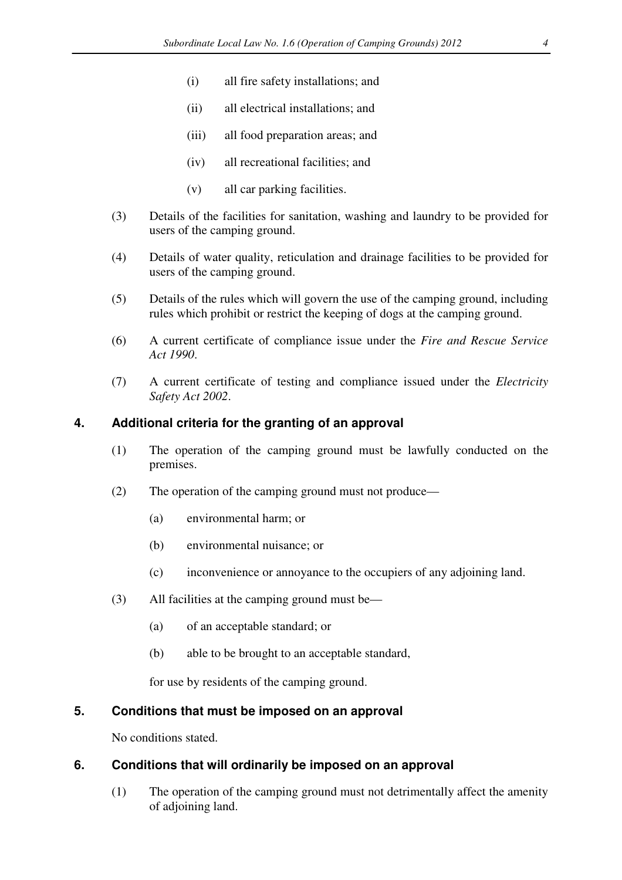- (i) all fire safety installations; and
- (ii) all electrical installations; and
- (iii) all food preparation areas; and
- (iv) all recreational facilities; and
- (v) all car parking facilities.
- (3) Details of the facilities for sanitation, washing and laundry to be provided for users of the camping ground.
- (4) Details of water quality, reticulation and drainage facilities to be provided for users of the camping ground.
- (5) Details of the rules which will govern the use of the camping ground, including rules which prohibit or restrict the keeping of dogs at the camping ground.
- (6) A current certificate of compliance issue under the *Fire and Rescue Service Act 1990*.
- (7) A current certificate of testing and compliance issued under the *Electricity Safety Act 2002*.

### **4. Additional criteria for the granting of an approval**

- (1) The operation of the camping ground must be lawfully conducted on the premises.
- (2) The operation of the camping ground must not produce—
	- (a) environmental harm; or
	- (b) environmental nuisance; or
	- (c) inconvenience or annoyance to the occupiers of any adjoining land.
- (3) All facilities at the camping ground must be—
	- (a) of an acceptable standard; or
	- (b) able to be brought to an acceptable standard,

for use by residents of the camping ground.

#### **5. Conditions that must be imposed on an approval**

No conditions stated.

#### **6. Conditions that will ordinarily be imposed on an approval**

(1) The operation of the camping ground must not detrimentally affect the amenity of adjoining land.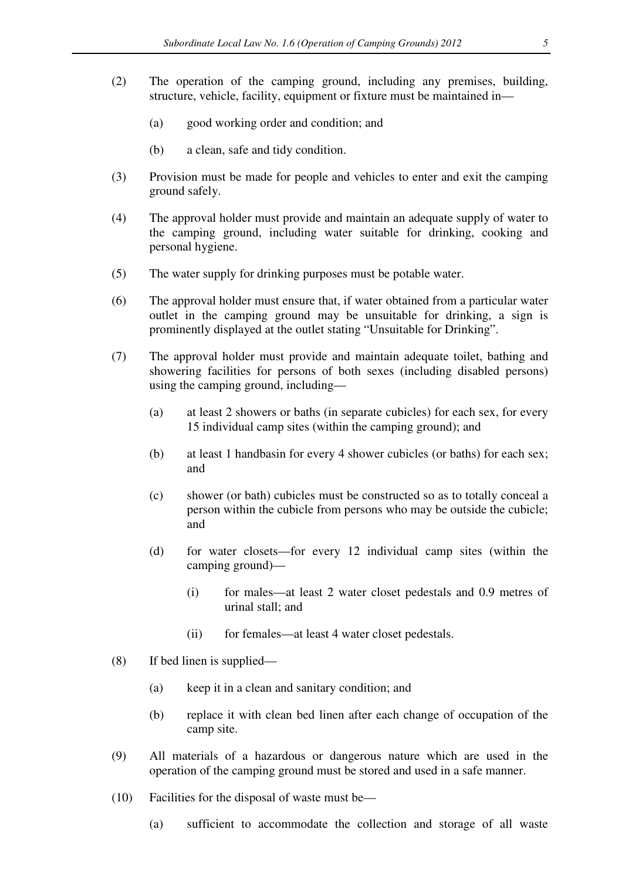- (2) The operation of the camping ground, including any premises, building, structure, vehicle, facility, equipment or fixture must be maintained in—
	- (a) good working order and condition; and
	- (b) a clean, safe and tidy condition.
- (3) Provision must be made for people and vehicles to enter and exit the camping ground safely.
- (4) The approval holder must provide and maintain an adequate supply of water to the camping ground, including water suitable for drinking, cooking and personal hygiene.
- (5) The water supply for drinking purposes must be potable water.
- (6) The approval holder must ensure that, if water obtained from a particular water outlet in the camping ground may be unsuitable for drinking, a sign is prominently displayed at the outlet stating "Unsuitable for Drinking".
- (7) The approval holder must provide and maintain adequate toilet, bathing and showering facilities for persons of both sexes (including disabled persons) using the camping ground, including—
	- (a) at least 2 showers or baths (in separate cubicles) for each sex, for every 15 individual camp sites (within the camping ground); and
	- (b) at least 1 handbasin for every 4 shower cubicles (or baths) for each sex; and
	- (c) shower (or bath) cubicles must be constructed so as to totally conceal a person within the cubicle from persons who may be outside the cubicle; and
	- (d) for water closets—for every 12 individual camp sites (within the camping ground)—
		- (i) for males—at least 2 water closet pedestals and 0.9 metres of urinal stall; and
		- (ii) for females—at least 4 water closet pedestals.
- (8) If bed linen is supplied—
	- (a) keep it in a clean and sanitary condition; and
	- (b) replace it with clean bed linen after each change of occupation of the camp site.
- (9) All materials of a hazardous or dangerous nature which are used in the operation of the camping ground must be stored and used in a safe manner.
- (10) Facilities for the disposal of waste must be—
	- (a) sufficient to accommodate the collection and storage of all waste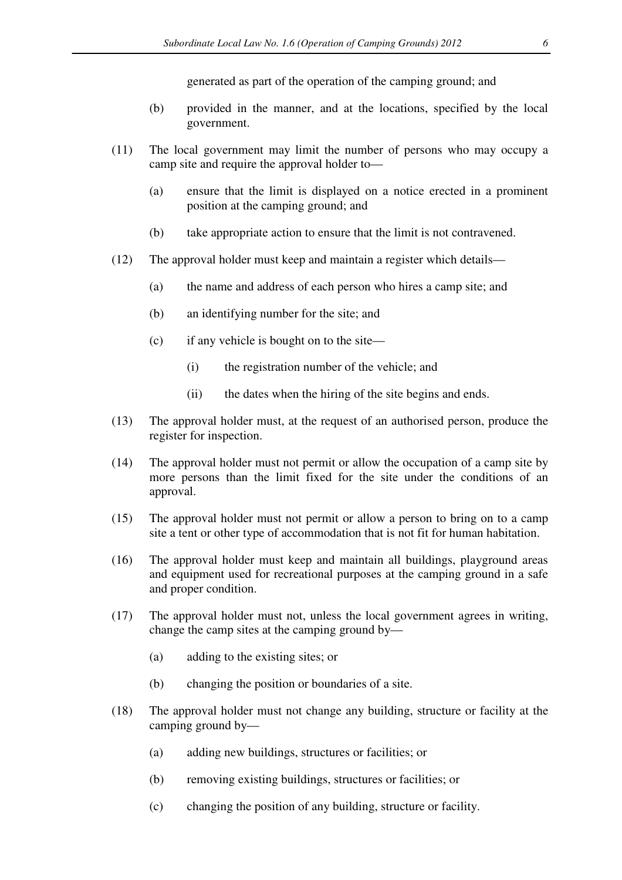generated as part of the operation of the camping ground; and

- (b) provided in the manner, and at the locations, specified by the local government.
- (11) The local government may limit the number of persons who may occupy a camp site and require the approval holder to—
	- (a) ensure that the limit is displayed on a notice erected in a prominent position at the camping ground; and
	- (b) take appropriate action to ensure that the limit is not contravened.
- (12) The approval holder must keep and maintain a register which details—
	- (a) the name and address of each person who hires a camp site; and
	- (b) an identifying number for the site; and
	- (c) if any vehicle is bought on to the site—
		- (i) the registration number of the vehicle; and
		- (ii) the dates when the hiring of the site begins and ends.
- (13) The approval holder must, at the request of an authorised person, produce the register for inspection.
- (14) The approval holder must not permit or allow the occupation of a camp site by more persons than the limit fixed for the site under the conditions of an approval.
- (15) The approval holder must not permit or allow a person to bring on to a camp site a tent or other type of accommodation that is not fit for human habitation.
- (16) The approval holder must keep and maintain all buildings, playground areas and equipment used for recreational purposes at the camping ground in a safe and proper condition.
- (17) The approval holder must not, unless the local government agrees in writing, change the camp sites at the camping ground by—
	- (a) adding to the existing sites; or
	- (b) changing the position or boundaries of a site.
- (18) The approval holder must not change any building, structure or facility at the camping ground by—
	- (a) adding new buildings, structures or facilities; or
	- (b) removing existing buildings, structures or facilities; or
	- (c) changing the position of any building, structure or facility.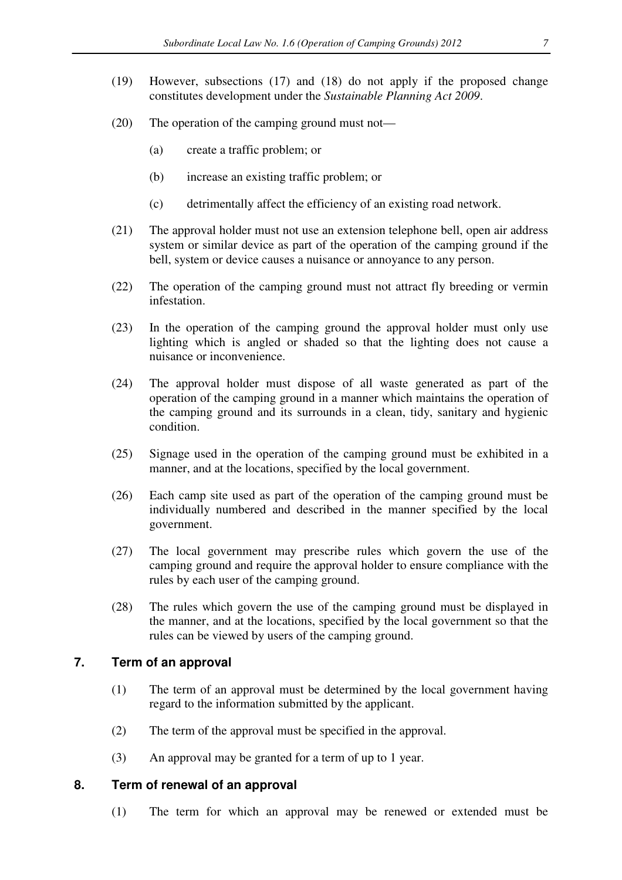- (19) However, subsections (17) and (18) do not apply if the proposed change constitutes development under the *Sustainable Planning Act 2009*.
- (20) The operation of the camping ground must not—
	- (a) create a traffic problem; or
	- (b) increase an existing traffic problem; or
	- (c) detrimentally affect the efficiency of an existing road network.
- (21) The approval holder must not use an extension telephone bell, open air address system or similar device as part of the operation of the camping ground if the bell, system or device causes a nuisance or annoyance to any person.
- (22) The operation of the camping ground must not attract fly breeding or vermin infestation.
- (23) In the operation of the camping ground the approval holder must only use lighting which is angled or shaded so that the lighting does not cause a nuisance or inconvenience.
- (24) The approval holder must dispose of all waste generated as part of the operation of the camping ground in a manner which maintains the operation of the camping ground and its surrounds in a clean, tidy, sanitary and hygienic condition.
- (25) Signage used in the operation of the camping ground must be exhibited in a manner, and at the locations, specified by the local government.
- (26) Each camp site used as part of the operation of the camping ground must be individually numbered and described in the manner specified by the local government.
- (27) The local government may prescribe rules which govern the use of the camping ground and require the approval holder to ensure compliance with the rules by each user of the camping ground.
- (28) The rules which govern the use of the camping ground must be displayed in the manner, and at the locations, specified by the local government so that the rules can be viewed by users of the camping ground.

#### **7. Term of an approval**

- (1) The term of an approval must be determined by the local government having regard to the information submitted by the applicant.
- (2) The term of the approval must be specified in the approval.
- (3) An approval may be granted for a term of up to 1 year.

#### **8. Term of renewal of an approval**

(1) The term for which an approval may be renewed or extended must be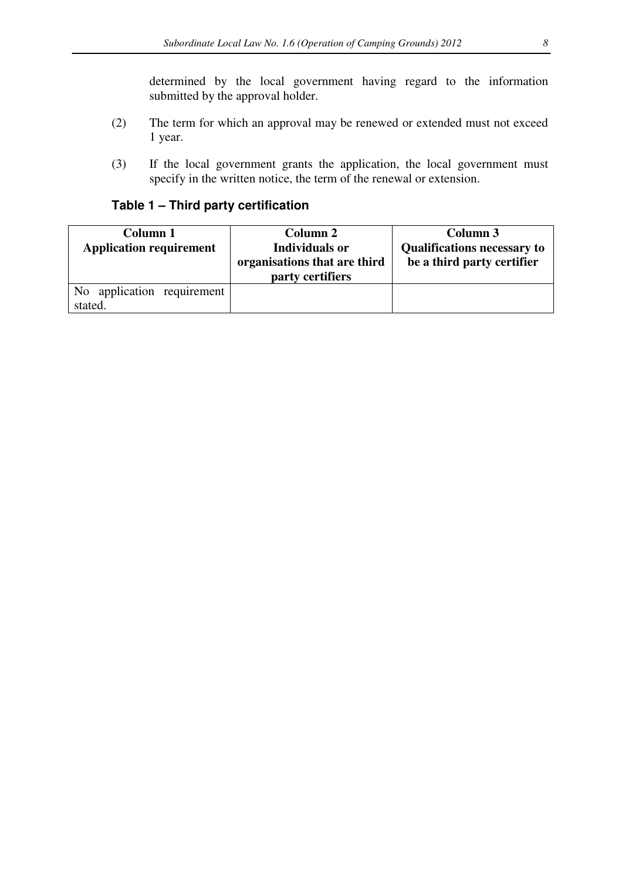determined by the local government having regard to the information submitted by the approval holder.

- (2) The term for which an approval may be renewed or extended must not exceed 1 year.
- (3) If the local government grants the application, the local government must specify in the written notice, the term of the renewal or extension.

## **Table 1 – Third party certification**

| Column 1<br><b>Application requirement</b> | Column 2<br><b>Individuals or</b><br>organisations that are third<br>party certifiers | Column 3<br><b>Qualifications necessary to</b><br>be a third party certifier |
|--------------------------------------------|---------------------------------------------------------------------------------------|------------------------------------------------------------------------------|
| No application requirement<br>stated.      |                                                                                       |                                                                              |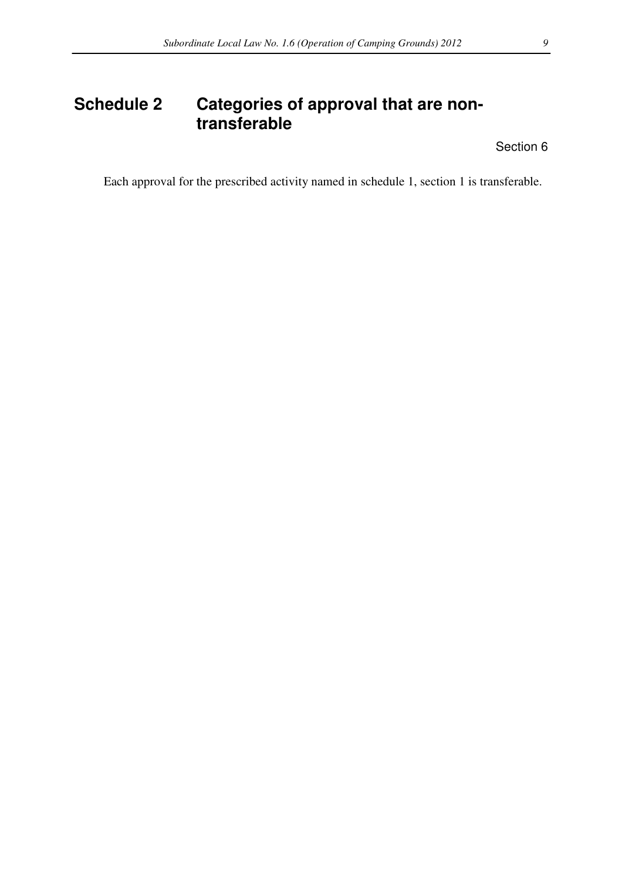# **Schedule 2 Categories of approval that are nontransferable**

Section 6

Each approval for the prescribed activity named in schedule 1, section 1 is transferable.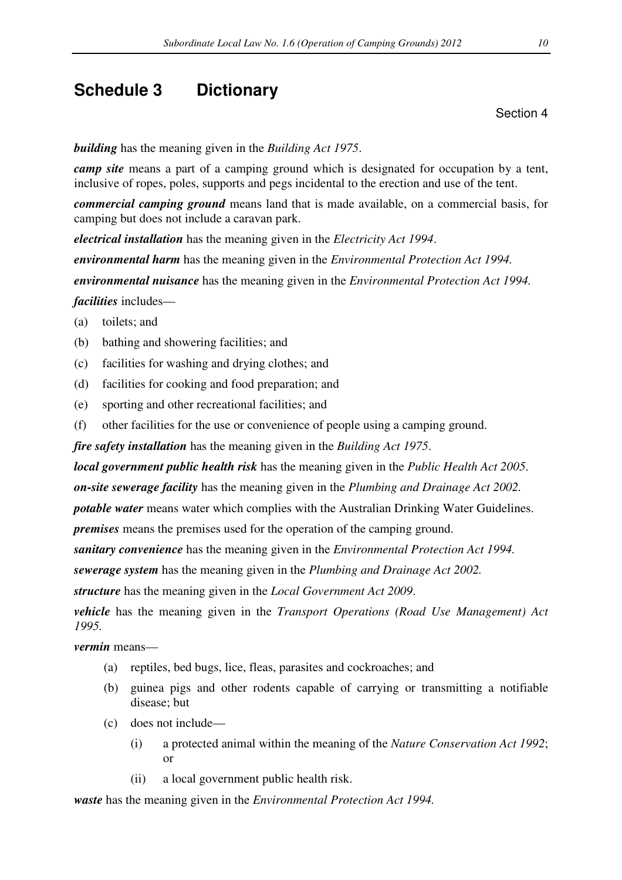## **Schedule 3 Dictionary**

Section 4

*building* has the meaning given in the *Building Act 1975*.

*camp site* means a part of a camping ground which is designated for occupation by a tent, inclusive of ropes, poles, supports and pegs incidental to the erection and use of the tent.

*commercial camping ground* means land that is made available, on a commercial basis, for camping but does not include a caravan park.

*electrical installation* has the meaning given in the *Electricity Act 1994*.

*environmental harm* has the meaning given in the *Environmental Protection Act 1994.* 

*environmental nuisance* has the meaning given in the *Environmental Protection Act 1994.*

*facilities* includes—

(a) toilets; and

- (b) bathing and showering facilities; and
- (c) facilities for washing and drying clothes; and
- (d) facilities for cooking and food preparation; and
- (e) sporting and other recreational facilities; and
- (f) other facilities for the use or convenience of people using a camping ground.

*fire safety installation* has the meaning given in the *Building Act 1975*.

*local government public health risk* has the meaning given in the *Public Health Act 2005*.

*on-site sewerage facility* has the meaning given in the *Plumbing and Drainage Act 2002.*

*potable water* means water which complies with the Australian Drinking Water Guidelines.

*premises* means the premises used for the operation of the camping ground.

*sanitary convenience* has the meaning given in the *Environmental Protection Act 1994.*

*sewerage system* has the meaning given in the *Plumbing and Drainage Act 2002.* 

*structure* has the meaning given in the *Local Government Act 2009*.

*vehicle* has the meaning given in the *Transport Operations (Road Use Management) Act 1995.*

*vermin* means—

- (a) reptiles, bed bugs, lice, fleas, parasites and cockroaches; and
- (b) guinea pigs and other rodents capable of carrying or transmitting a notifiable disease; but
- (c) does not include—
	- (i) a protected animal within the meaning of the *Nature Conservation Act 1992*; or
	- (ii) a local government public health risk.

*waste* has the meaning given in the *Environmental Protection Act 1994.*